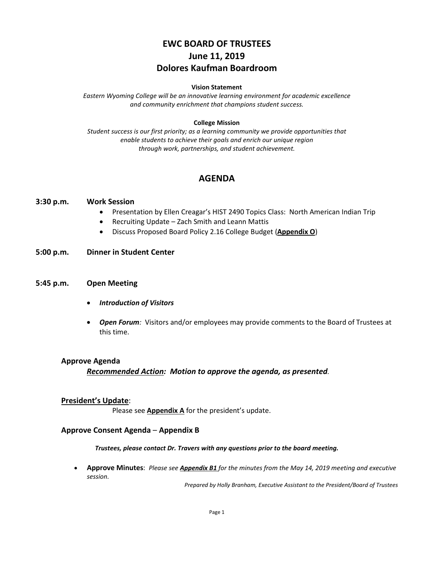# **EWC BOARD OF TRUSTEES June 11, 2019 Dolores Kaufman Boardroom**

### **Vision Statement**

*Eastern Wyoming College will be an innovative learning environment for academic excellence and community enrichment that champions student success.*

### **College Mission**

*Student success is our first priority; as a learning community we provide opportunities that enable students to achieve their goals and enrich our unique region through work, partnerships, and student achievement.*

# **AGENDA**

### **3:30 p.m. Work Session**

- Presentation by Ellen Creagar's HIST 2490 Topics Class: North American Indian Trip
- Recruiting Update Zach Smith and Leann Mattis
- Discuss Proposed Board Policy 2.16 College Budget (**Appendix O**)
- **5:00 p.m. Dinner in Student Center**

### **5:45 p.m. Open Meeting**

- *Introduction of Visitors*
- *Open Forum:* Visitors and/or employees may provide comments to the Board of Trustees at this time.

#### **Approve Agenda**

*Recommended Action: Motion to approve the agenda, as presented.*

#### **President's Update**:

Please see **Appendix A** for the president's update.

### **Approve Consent Agenda** – **Appendix B**

*Trustees, please contact Dr. Travers with any questions prior to the board meeting.*

• **Approve Minutes**: *Please see Appendix B1 for the minutes from the May 14, 2019 meeting and executive session.*

*Prepared by Holly Branham, Executive Assistant to the President/Board of Trustees*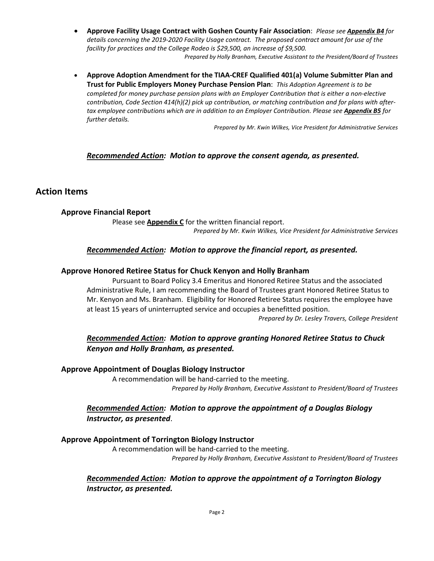- **Approve Facility Usage Contract with Goshen County Fair Association**: *Please see Appendix B4 for details concerning the 2019-2020 Facility Usage contract. The proposed contract amount for use of the facility for practices and the College Rodeo is \$29,500, an increase of \$9,500.*
	- *Prepared by Holly Branham, Executive Assistant to the President/Board of Trustees*
- **Approve Adoption Amendment for the TIAA-CREF Qualified 401(a) Volume Submitter Plan and Trust for Public Employers Money Purchase Pension Plan**: *This Adoption Agreement is to be completed for money purchase pension plans with an Employer Contribution that is either a non-elective contribution, Code Section 414(h)(2) pick up contribution, or matching contribution and for plans with aftertax employee contributions which are in addition to an Employer Contribution. Please see Appendix B5 for further details.*

*Prepared by Mr. Kwin Wilkes, Vice President for Administrative Services*

### *Recommended Action: Motion to approve the consent agenda, as presented.*

# **Action Items**

### **Approve Financial Report**

Please see **Appendix C** for the written financial report. *Prepared by Mr. Kwin Wilkes, Vice President for Administrative Services*

### *Recommended Action: Motion to approve the financial report, as presented.*

#### **Approve Honored Retiree Status for Chuck Kenyon and Holly Branham**

Pursuant to Board Policy 3.4 Emeritus and Honored Retiree Status and the associated Administrative Rule, I am recommending the Board of Trustees grant Honored Retiree Status to Mr. Kenyon and Ms. Branham. Eligibility for Honored Retiree Status requires the employee have at least 15 years of uninterrupted service and occupies a benefitted position.

*Prepared by Dr. Lesley Travers, College President*

# *Recommended Action: Motion to approve granting Honored Retiree Status to Chuck Kenyon and Holly Branham, as presented.*

#### **Approve Appointment of Douglas Biology Instructor**

A recommendation will be hand-carried to the meeting. *Prepared by Holly Branham, Executive Assistant to President/Board of Trustees*

# *Recommended Action: Motion to approve the appointment of a Douglas Biology Instructor, as presented*.

### **Approve Appointment of Torrington Biology Instructor**

A recommendation will be hand-carried to the meeting. *Prepared by Holly Branham, Executive Assistant to President/Board of Trustees*

# *Recommended Action: Motion to approve the appointment of a Torrington Biology Instructor, as presented.*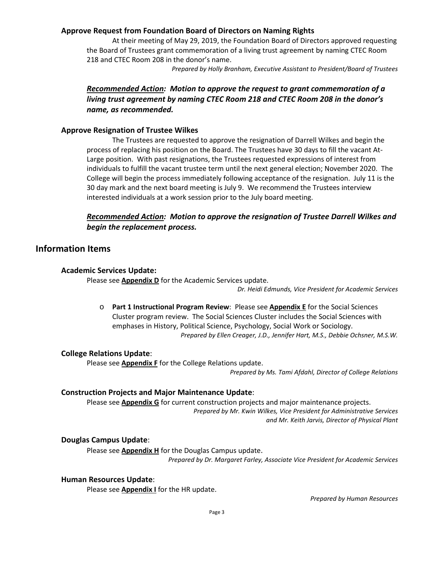# **Approve Request from Foundation Board of Directors on Naming Rights**

At their meeting of May 29, 2019, the Foundation Board of Directors approved requesting the Board of Trustees grant commemoration of a living trust agreement by naming CTEC Room 218 and CTEC Room 208 in the donor's name.

*Prepared by Holly Branham, Executive Assistant to President/Board of Trustees*

# *Recommended Action: Motion to approve the request to grant commemoration of a living trust agreement by naming CTEC Room 218 and CTEC Room 208 in the donor's name, as recommended.*

### **Approve Resignation of Trustee Wilkes**

The Trustees are requested to approve the resignation of Darrell Wilkes and begin the process of replacing his position on the Board. The Trustees have 30 days to fill the vacant At-Large position. With past resignations, the Trustees requested expressions of interest from individuals to fulfill the vacant trustee term until the next general election; November 2020. The College will begin the process immediately following acceptance of the resignation. July 11 is the 30 day mark and the next board meeting is July 9. We recommend the Trustees interview interested individuals at a work session prior to the July board meeting.

# *Recommended Action: Motion to approve the resignation of Trustee Darrell Wilkes and begin the replacement process.*

# **Information Items**

### **Academic Services Update:**

Please see **Appendix D** for the Academic Services update.

*Dr. Heidi Edmunds, Vice President for Academic Services*

o **Part 1 Instructional Program Review**: Please see **Appendix E** for the Social Sciences Cluster program review. The Social Sciences Cluster includes the Social Sciences with emphases in History, Political Science, Psychology, Social Work or Sociology. *Prepared by Ellen Creager, J.D., Jennifer Hart, M.S., Debbie Ochsner, M.S.W.*

# **College Relations Update**:

Please see **Appendix F** for the College Relations update.

*Prepared by Ms. Tami Afdahl, Director of College Relations*

# **Construction Projects and Major Maintenance Update**:

Please see **Appendix G** for current construction projects and major maintenance projects. *Prepared by Mr. Kwin Wilkes, Vice President for Administrative Services and Mr. Keith Jarvis, Director of Physical Plant*

# **Douglas Campus Update**:

Please see **Appendix H** for the Douglas Campus update. *Prepared by Dr. Margaret Farley, Associate Vice President for Academic Services*

### **Human Resources Update**:

Please see **Appendix I** for the HR update.

*Prepared by Human Resources*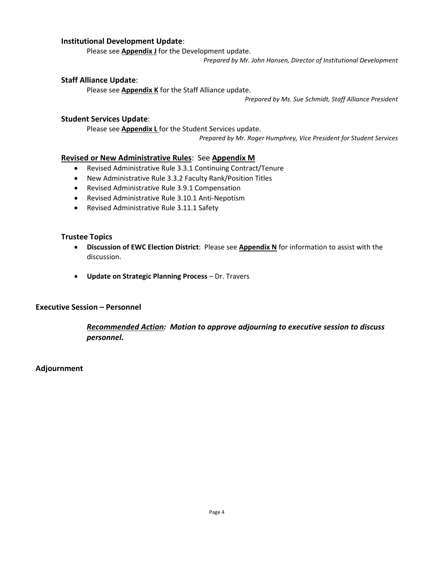# **Institutional Development Update**:

Please see **Appendix J** for the Development update.

*Prepared by Mr. John Hansen, Director of Institutional Development*

### **Staff Alliance Update**:

Please see **Appendix K** for the Staff Alliance update.

*Prepared by Ms. Sue Schmidt, Staff Alliance President*

### **Student Services Update**:

Please see **Appendix L** for the Student Services update. *Prepared by Mr. Roger Humphrey, Vice President for Student Services*

### **Revised or New Administrative Rules**: See **Appendix M**

- Revised Administrative Rule 3.3.1 Continuing Contract/Tenure
- New Administrative Rule 3.3.2 Faculty Rank/Position Titles
- Revised Administrative Rule 3.9.1 Compensation
- Revised Administrative Rule 3.10.1 Anti-Nepotism
- Revised Administrative Rule 3.11.1 Safety

### **Trustee Topics**

- **Discussion of EWC Election District**: Please see **Appendix N** for information to assist with the discussion.
- **Update on Strategic Planning Process**  Dr. Travers

# **Executive Session – Personnel**

*Recommended Action: Motion to approve adjourning to executive session to discuss personnel.*

# **Adjournment**